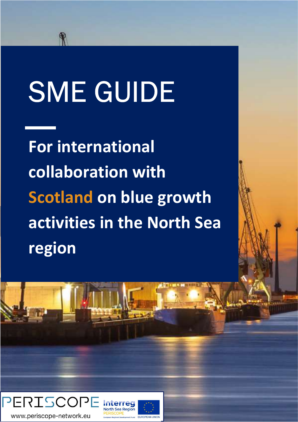# SME GUIDE

For international collaboration with Scotland on blue growth activities in the North Sea region

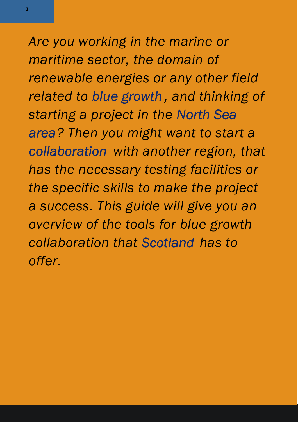Are you working in the marine or maritime sector, the domain of renewable energies or any other field related to blue growth , and thinking of starting a project in the North Sea area? Then you might want to start a collaboration with another region, that has the necessary testing facilities or the specific skills to make the project a success. This guide will give you an overview of the tools for blue growth collaboration that Scotland has to offer.

2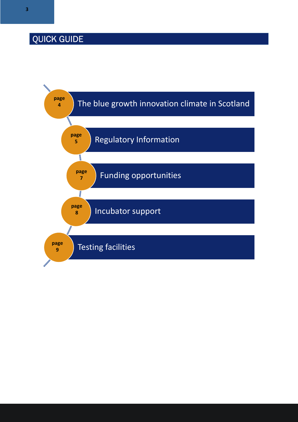## QUICK GUIDE

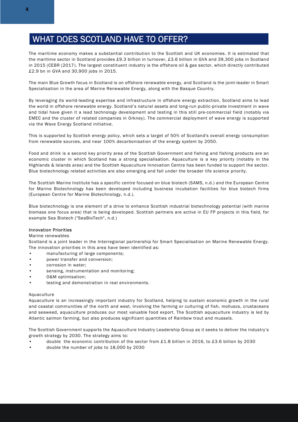#### WHAT DOES SCOTLAND HAVE TO OFFER?

The maritime economy makes a substantial contribution to the Scottish and UK economies. It is estimated that the maritime sector in Scotland provides £9.3 billion in turnover, £3.6 billion in GVA and 39,300 jobs in Scotland in 2015 (CEBR (2017). The largest constituent industry is the offshore oil & gas sector, which directly contributed £2.9 bn in GVA and 30,900 jobs in 2015.

The main Blue Growth focus in Scotland is on offshore renewable energy, and Scotland is the joint-leader in Smart Specialisation in the area of Marine Renewable Energy, along with the Basque Country.

By leveraging its world-leading expertise and infrastructure in offshore energy extraction, Scotland aims to lead the world in offshore renewable energy. Scotland's natural assets and long-run public-private investment in wave and tidal have given it a lead technology development and testing in this still pre-commercial field (notably via EMEC and the cluster of related companies in Orkney). The commercial deployment of wave energy is supported via the Wave Energy Scotland initiative.

This is supported by Scottish energy policy, which sets a target of 50% of Scotland's overall energy consumption from renewable sources, and near 100% decarbonisation of the energy system by 2050.

Food and drink is a second key priority area of the Scottish Government and fishing and fishing products are an economic cluster in which Scotland has a strong specialisation. Aquaculture is a key priority (notably in the Highlands & Islands area) and the Scottish Aquaculture Innovation Centre has been funded to support the sector. Blue biotechnology related activities are also emerging and fall under the broader life science priority.

The Scottish Marine Institute has a specific centre focused on blue biotech (SAMS, n.d.) and the European Centre for Marine Biotechnology has been developed including business incubation facilities for blue biotech firms (European Centre for Marine Biotechnology, n.d.).

Blue biotechnology is one element of a drive to enhance Scottish industrial biotechnology potential (with marine biomass one focus area) that is being developed. Scottish partners are active in EU FP projects in this field, for example Sea Biotech ("SeaBioTech", n.d.)

#### Innovation Priorities

#### Marine renewables

Scotland is a joint leader in the Interregional partnership for Smart Specialisation on Marine Renewable Energy. The innovation priorities in this area have been identified as:

- manufacturing of large components;
- power transfer and conversion;
- corrosion in water;
- sensing, instrumentation and monitoring;
- O&M optimisation;
- testing and demonstration in real environments.

#### Aquaculture

Aquaculture is an increasingly important industry for Scotland, helping to sustain economic growth in the rural and coastal communities of the north and west. Involving the farming or culturing of fish, molluscs, crustaceans and seaweed, aquaculture produces our most valuable food export. The Scottish aquaculture industry is led by Atlantic salmon farming, but also produces significant quantities of Rainbow trout and mussels.

The Scottish Government supports the Aquaculture Industry Leadership Group as it seeks to deliver the industry's growth strategy by 2030. The strategy aims to:

- double the economic contribution of the sector from £1.8 billion in 2016, to £3.6 billion by 2030
- double the number of jobs to 18,000 by 2030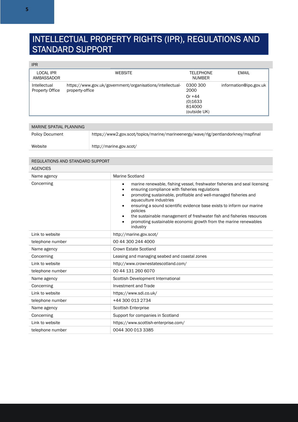## INTELLECTUAL PROPERTY RIGHTS (IPR), REGULATIONS AND STANDARD SUPPORT

#### IPR

| <b>LOCAL IPR</b><br>AMBASSADOR         | <b>WEBSITE</b>                                                               | <b>TELEPHONE</b><br><b>NUMBER</b>                                 | <b>EMAIL</b>           |
|----------------------------------------|------------------------------------------------------------------------------|-------------------------------------------------------------------|------------------------|
| Intellectual<br><b>Property Office</b> | https://www.gov.uk/government/organisations/intellectual-<br>property-office | 0300 300<br>2000<br>Or $+44$<br>(0)1633<br>814000<br>(outside UK) | information@ipo.gov.uk |

| MARINE SPATIAL PLANNING |                                                                                   |
|-------------------------|-----------------------------------------------------------------------------------|
| <b>Policy Document</b>  | https://www2.gov.scot/topics/marine/marineenergy/wave/rlg/pentlandorkney/mspfinal |
| Website                 | http://marine.gov.scot/                                                           |

| REGULATIONS AND STANDARD SUPPORT |                                                                                                                                                                                                                                                                                                                                                                                                                                                                                                   |
|----------------------------------|---------------------------------------------------------------------------------------------------------------------------------------------------------------------------------------------------------------------------------------------------------------------------------------------------------------------------------------------------------------------------------------------------------------------------------------------------------------------------------------------------|
| <b>AGENCIES</b>                  |                                                                                                                                                                                                                                                                                                                                                                                                                                                                                                   |
| Name agency                      | <b>Marine Scotland</b>                                                                                                                                                                                                                                                                                                                                                                                                                                                                            |
| Concerning                       | marine renewable, fishing vessel, freshwater fisheries and seal licensing<br>$\bullet$<br>ensuring compliance with fisheries regulations<br>promoting sustainable, profitable and well-managed fisheries and<br>aquaculture industries<br>ensuring a sound scientific evidence base exists to inform our marine<br>policies<br>the sustainable management of freshwater fish and fisheries resources<br>$\bullet$<br>promoting sustainable economic growth from the marine renewables<br>industry |
| Link to website                  | http://marine.gov.scot/                                                                                                                                                                                                                                                                                                                                                                                                                                                                           |
| telephone number                 | 00 44 300 244 4000                                                                                                                                                                                                                                                                                                                                                                                                                                                                                |
| Name agency                      | Crown Estate Scotland                                                                                                                                                                                                                                                                                                                                                                                                                                                                             |
| Concerning                       | Leasing and managing seabed and coastal zones                                                                                                                                                                                                                                                                                                                                                                                                                                                     |
| Link to website                  | http://www.crownestatescotland.com/                                                                                                                                                                                                                                                                                                                                                                                                                                                               |
| telephone number                 | 00 44 131 260 6070                                                                                                                                                                                                                                                                                                                                                                                                                                                                                |
| Name agency                      | Scottish Development International                                                                                                                                                                                                                                                                                                                                                                                                                                                                |
| Concerning                       | <b>Investment and Trade</b>                                                                                                                                                                                                                                                                                                                                                                                                                                                                       |
| Link to website                  | https://www.sdi.co.uk/                                                                                                                                                                                                                                                                                                                                                                                                                                                                            |
| telephone number                 | +44 300 013 2734                                                                                                                                                                                                                                                                                                                                                                                                                                                                                  |
| Name agency                      | <b>Scottish Enterprise</b>                                                                                                                                                                                                                                                                                                                                                                                                                                                                        |
| Concerning                       | Support for companies in Scotland                                                                                                                                                                                                                                                                                                                                                                                                                                                                 |
| Link to website                  | https://www.scottish-enterprise.com/                                                                                                                                                                                                                                                                                                                                                                                                                                                              |
| telephone number                 | 0044 300 013 3385                                                                                                                                                                                                                                                                                                                                                                                                                                                                                 |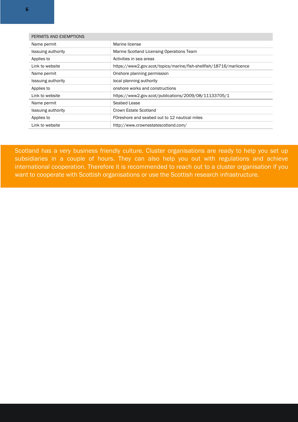| PERMITS AND EXEMPTIONS    |                                                                     |
|---------------------------|---------------------------------------------------------------------|
| Name permit               | Marine license                                                      |
| <b>Isssuing authority</b> | Marine Scotland Licensing Operations Team                           |
| Applies to                | Activities in sea areas                                             |
| Link to website           | https://www2.gov.scot/topics/marine/fish-shellfish/18716/marlicence |
| Name permit               | Onshore planning permission                                         |
| <b>Isssuing authority</b> | local planning authority                                            |
| Applies to                | onshore works and constructions                                     |
| Link to website           | https://www2.gov.scot/publications/2009/08/11133705/1               |
| Name permit               | Seabed Lease                                                        |
| <b>Isssuing authority</b> | Crown Estate Scotland                                               |
| Applies to                | FOreshore and seabed out to 12 nautical miles                       |
| Link to website           | http://www.crownestatescotland.com/                                 |

Scotland has a very business friendly culture. Cluster organisations are ready to help you set up subsidiaries in a couple of hours. They can also help you out with regulations and achieve international cooperation. Therefore it is recommended to reach out to a cluster organisation if you want to cooperate with Scottish organisations or use the Scottish research infrastructure.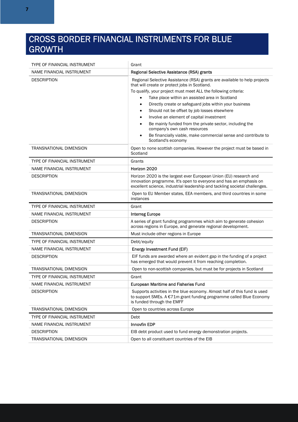### CROSS BORDER FINANCIAL INSTRUMENTS FOR BLUE GROWTH

| TYPE OF FINANCIAL INSTRUMENT   | Grant                                                                                                                                                                                                                                                                                                                                                                                                                                                                                                                                                                                                             |
|--------------------------------|-------------------------------------------------------------------------------------------------------------------------------------------------------------------------------------------------------------------------------------------------------------------------------------------------------------------------------------------------------------------------------------------------------------------------------------------------------------------------------------------------------------------------------------------------------------------------------------------------------------------|
| NAME FINANCIAL INSTRUMENT      | Regional Selective Assistance (RSA) grants                                                                                                                                                                                                                                                                                                                                                                                                                                                                                                                                                                        |
| <b>DESCRIPTION</b>             | Regional Selective Assistance (RSA) grants are available to help projects<br>that will create or protect jobs in Scotland.<br>To qualify, your project must meet ALL the following criteria:<br>Take place within an assisted area in Scotland<br>$\bullet$<br>Directly create or safeguard jobs within your business<br>$\bullet$<br>Should not be offset by job losses elsewhere<br>Involve an element of capital investment<br>Be mainly funded from the private sector, including the<br>company's own cash resources<br>Be financially viable, make commercial sense and contribute to<br>Scotland's economy |
| TRANSNATIONAL DIMENSION        | Open to none scottish companies. However the project must be based in<br>Scotland                                                                                                                                                                                                                                                                                                                                                                                                                                                                                                                                 |
| TYPE OF FINANCIAL INSTRUMENT   | Grants                                                                                                                                                                                                                                                                                                                                                                                                                                                                                                                                                                                                            |
| NAME FINANCIAL INSTRUMENT      | Horizon 2020                                                                                                                                                                                                                                                                                                                                                                                                                                                                                                                                                                                                      |
| <b>DESCRIPTION</b>             | Horizon 2020 is the largest ever European Union (EU) research and<br>innovation programme. It's open to everyone and has an emphasis on<br>excellent science, industrial leadership and tackling societal challenges.                                                                                                                                                                                                                                                                                                                                                                                             |
| <b>TRANSNATIONAL DIMENSION</b> | Open to EU Member states, EEA members, and third countries in some<br>instances                                                                                                                                                                                                                                                                                                                                                                                                                                                                                                                                   |
| TYPE OF FINANCIAL INSTRUMENT   | Grant                                                                                                                                                                                                                                                                                                                                                                                                                                                                                                                                                                                                             |
| NAME FINANCIAL INSTRUMENT      | <b>Interreg Europe</b>                                                                                                                                                                                                                                                                                                                                                                                                                                                                                                                                                                                            |
| <b>DESCRIPTION</b>             | A series of grant funding programmes which aim to generate cohesion<br>across regions in Europe, and generate regional development.                                                                                                                                                                                                                                                                                                                                                                                                                                                                               |
| TRANSNATIONAL DIMENSION        | Must include other regions in Europe                                                                                                                                                                                                                                                                                                                                                                                                                                                                                                                                                                              |
| TYPE OF FINANCIAL INSTRUMENT   | Debt/equity                                                                                                                                                                                                                                                                                                                                                                                                                                                                                                                                                                                                       |
| NAME FINANCIAL INSTRUMENT      | Energy Investment Fund (EIF)                                                                                                                                                                                                                                                                                                                                                                                                                                                                                                                                                                                      |
| <b>DESCRIPTION</b>             | EIF funds are awarded where an evident gap in the funding of a project<br>has emerged that would prevent it from reaching completion.                                                                                                                                                                                                                                                                                                                                                                                                                                                                             |
| <b>TRANSNATIONAL DIMENSION</b> | Open to non-scottish companies, but must be for projects in Scotland                                                                                                                                                                                                                                                                                                                                                                                                                                                                                                                                              |
| TYPE OF FINANCIAL INSTRUMENT   | Grant                                                                                                                                                                                                                                                                                                                                                                                                                                                                                                                                                                                                             |
| NAME FINANCIAL INSTRUMENT      | <b>European Maritime and Fisheries Fund</b>                                                                                                                                                                                                                                                                                                                                                                                                                                                                                                                                                                       |
| <b>DESCRIPTION</b>             | Supports activities in the blue economy. Almost half of this fund is used<br>to support SMEs. A €71m grant funding programme called Blue Economy<br>is funded through the EMFF                                                                                                                                                                                                                                                                                                                                                                                                                                    |
| TRANSNATIONAL DIMENSION        | Open to countries across Europe                                                                                                                                                                                                                                                                                                                                                                                                                                                                                                                                                                                   |
| TYPE OF FINANCIAL INSTRUMENT   | Debt                                                                                                                                                                                                                                                                                                                                                                                                                                                                                                                                                                                                              |
| NAME FINANCIAL INSTRUMENT      | <b>Innovfin EDP</b>                                                                                                                                                                                                                                                                                                                                                                                                                                                                                                                                                                                               |
| <b>DESCRIPTION</b>             | EIB debt product used to fund energy demonstration projects.                                                                                                                                                                                                                                                                                                                                                                                                                                                                                                                                                      |
| TRANSNATIONAL DIMENSION        | Open to all constituent countries of the EIB                                                                                                                                                                                                                                                                                                                                                                                                                                                                                                                                                                      |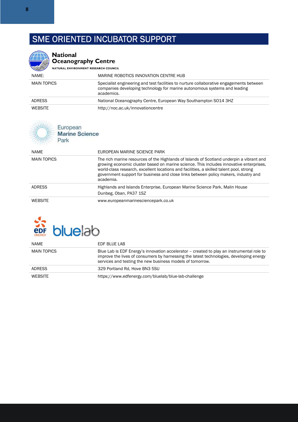## SME ORIENTED INCUBATOR SUPPORT

| <b>National</b><br>Oceanography Centre                   |                                                                                                                                                                                                                                                                                                                                                                                    |  |
|----------------------------------------------------------|------------------------------------------------------------------------------------------------------------------------------------------------------------------------------------------------------------------------------------------------------------------------------------------------------------------------------------------------------------------------------------|--|
| NATURAL ENVIRONMENT RESEARCH COUNCIL                     |                                                                                                                                                                                                                                                                                                                                                                                    |  |
| NAME:                                                    | MARINE ROBOTICS INNOVATION CENTRE HUB                                                                                                                                                                                                                                                                                                                                              |  |
| <b>MAIN TOPICS</b>                                       | Specialist engineering and test facilities to nurture collaborative engagements between<br>companies developing technology for marine autonomous systems and leading<br>academics.                                                                                                                                                                                                 |  |
| <b>ADRESS</b>                                            | National Oceanography Centre, European Way Southampton SO14 3HZ                                                                                                                                                                                                                                                                                                                    |  |
| <b>WEBSITE</b>                                           | http://noc.ac.uk/innovationcentre                                                                                                                                                                                                                                                                                                                                                  |  |
| European<br><b>Marine Science</b><br>Park<br><b>NAME</b> | FUROPEAN MARINE SCIENCE PARK                                                                                                                                                                                                                                                                                                                                                       |  |
|                                                          |                                                                                                                                                                                                                                                                                                                                                                                    |  |
| <b>MAIN TOPICS</b>                                       | The rich marine resources of the Highlands of Islands of Scotland underpin a vibrant and<br>growing economic cluster based on marine science. This includes innovative enterprises,<br>world-class research, excellent locations and facilities, a skilled talent pool, strong<br>government support for business and close links between policy makers, industry and<br>academia. |  |
| <b>ADRESS</b>                                            | Highlands and Islands Enterprise, European Marine Science Park, Malin House<br>Dunbeg, Oban, PA37 1SZ                                                                                                                                                                                                                                                                              |  |
| <b>WEBSITE</b>                                           | www.europeanmarinesciencepark.co.uk                                                                                                                                                                                                                                                                                                                                                |  |



| <b>NAME</b>    | EDF BLUE LAB                                                                                                                                                                                                                                      |
|----------------|---------------------------------------------------------------------------------------------------------------------------------------------------------------------------------------------------------------------------------------------------|
| MAIN TOPICS    | Blue Lab is EDF Energy's innovation accelerator – created to play an instrumental role to<br>improve the lives of consumers by harnessing the latest technologies, developing energy<br>services and testing the new business models of tomorrow. |
| <b>ADRESS</b>  | 329 Portland Rd, Hove BN3 5SU                                                                                                                                                                                                                     |
| <b>WEBSITE</b> | https://www.edfenergy.com/bluelab/blue-lab-challenge                                                                                                                                                                                              |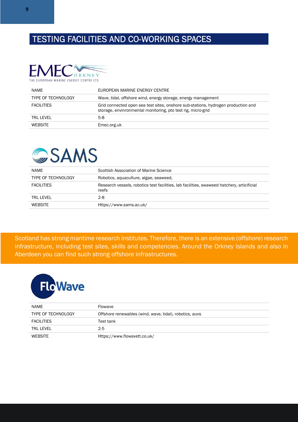## TESTING FACILITIES AND CO-WORKING SPACES



| NAME                      | EUROPEAN MARINE ENERGY CENTRE                                                                                                                     |
|---------------------------|---------------------------------------------------------------------------------------------------------------------------------------------------|
| <b>TYPE OF TECHNOLOGY</b> | Wave, tidal, offshore wind, energy storage, energy management                                                                                     |
| <b>FACILITIES</b>         | Grid connected open sea test sites, onshore sub-stations, hydrogen production and<br>storage, envinronmental monitoring, pto test rig, micro-grid |
| <b>TRL LEVEL</b>          | $5-8$                                                                                                                                             |
| WEBSITE                   | Emec.org.uk                                                                                                                                       |



| <b>NAME</b>               | Scottish Association of Marine Science                                                              |
|---------------------------|-----------------------------------------------------------------------------------------------------|
| <b>TYPE OF TECHNOLOGY</b> | Robotics, aquaculture, algae, seaweed,                                                              |
| <b>FACILITIES</b>         | Research vessels, robotics test facilities, lab facilities, swaweed hatchery, articificial<br>reefs |
| TRI I FVFI                | $2-8$                                                                                               |
| <b>WEBSITE</b>            | Https://www.sams.ac.uk/                                                                             |

Scotland has strong maritime research institutes. Therefore, there is an extensive (offshore) research infrastructure, including test sites, skills and competencies. Around the Orkney Islands and also in Aberdeen you can find such strong offshore infrastructures.



| NAME                      | Flowave                                                 |
|---------------------------|---------------------------------------------------------|
| <b>TYPE OF TECHNOLOGY</b> | Offshore renewables (wind, wave, tidal), robotics, auvs |
| <b>FACILITIES</b>         | Test tank                                               |
| TRI I FVFI                | $2 - 5$                                                 |
| <b>WEBSITE</b>            | Https://www.flowavett.co.uk/                            |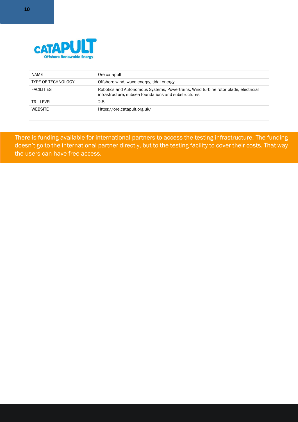

| NAME                      | Ore catapult                                                                                                                                |
|---------------------------|---------------------------------------------------------------------------------------------------------------------------------------------|
| <b>TYPE OF TECHNOLOGY</b> | Offshore wind, wave energy, tidal energy                                                                                                    |
| <b>FACILITIES</b>         | Robotics and Autonomous Systems, Powertrains, Wind turbine rotor blade, electricial<br>infrastructure, subsea foundations and substructures |
| TRI I FVFI                | $2-8$                                                                                                                                       |
| <b>WEBSITE</b>            | Https://ore.catapult.org.uk/                                                                                                                |

There is funding available for international partners to access the testing infrastructure. The funding doesn't go to the international partner directly, but to the testing facility to cover their costs. That way the users can have free access.